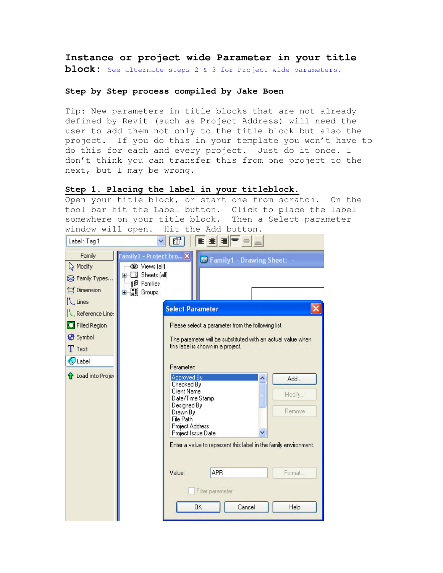**Instance or project wide Parameter in your title block:** See alternate steps 2 & 3 for Project wide parameters.

#### **Step by Step process compiled by Jake Boen**

Tip: New parameters in title blocks that are not already defined by Revit (such as Project Address) will need the user to add them not only to the title block but also the project. If you do this in your template you won't have to do this for each and every project. Just do it once. I don't think you can transfer this from one project to the next, but I may be wrong.

#### **Step 1. Placing the label in your titleblock.**

Open your title block, or start one from scratch. On the tool bar hit the Label button. Click to place the label somewhere on your title block. Then a Select parameter window will open. Hit the Add button.

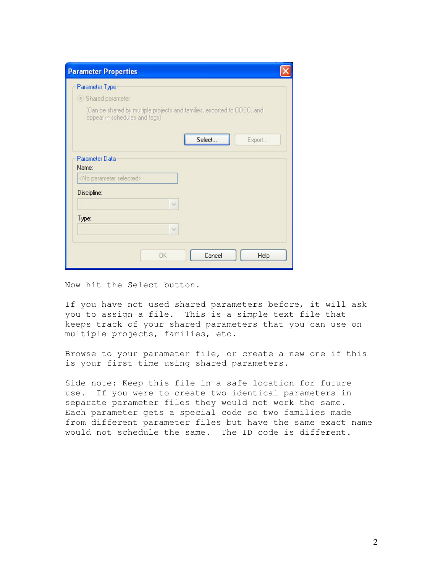| <b>Parameter Properties</b>                                                                                                                                        |  |
|--------------------------------------------------------------------------------------------------------------------------------------------------------------------|--|
| Parameter Type<br>Shared parameter<br>(Can be shared by multiple projects and families, exported to ODBC, and<br>appear in schedules and tags)<br>Select<br>Export |  |
| Parameter Data<br>Name:<br><no parameter="" selected=""></no>                                                                                                      |  |
| Discipline:<br>v                                                                                                                                                   |  |
| Type:<br>$\sqrt{ }$                                                                                                                                                |  |
| <b>OK</b><br>Cancel<br>Help                                                                                                                                        |  |

Now hit the Select button.

If you have not used shared parameters before, it will ask you to assign a file. This is a simple text file that keeps track of your shared parameters that you can use on multiple projects, families, etc.

Browse to your parameter file, or create a new one if this is your first time using shared parameters.

Side note: Keep this file in a safe location for future use. If you were to create two identical parameters in separate parameter files they would not work the same. Each parameter gets a special code so two families made from different parameter files but have the same exact name would not schedule the same. The ID code is different.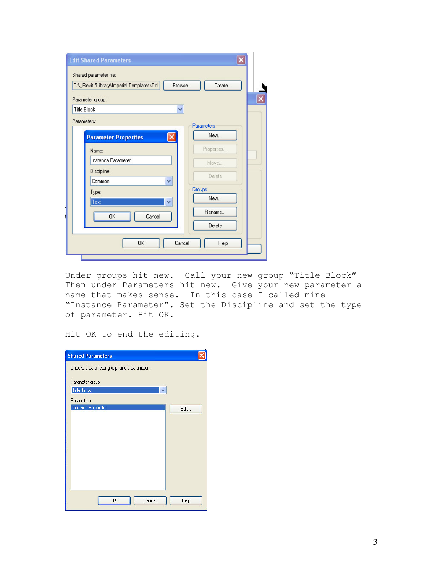| C:\_Revit 5 library\Imperial Templates\Titl |          | Browse     | Create     |  |
|---------------------------------------------|----------|------------|------------|--|
| Parameter group:                            |          |            |            |  |
| <b>Title Block</b>                          |          | ×          |            |  |
| Parameters:                                 |          | Parameters |            |  |
| <b>Parameter Properties</b>                 | $\times$ |            | New        |  |
| Name:                                       |          |            | Properties |  |
| Instance Parameter                          |          |            | Move       |  |
| Discipline:                                 |          |            | Delete     |  |
| Common                                      | Ÿ        |            |            |  |
| Type:                                       |          | Groups     | New        |  |
| Text                                        | ×        |            |            |  |
| <b>OK</b>                                   | Cancel   |            | Rename     |  |
|                                             |          |            | Delete     |  |
|                                             |          |            |            |  |

Under groups hit new. Call your new group "Title Block" Then under Parameters hit new. Give your new parameter a name that makes sense. In this case I called mine "Instance Parameter". Set the Discipline and set the type of parameter. Hit OK.

Hit OK to end the editing.

| <b>Shared Parameters</b>                   |      |
|--------------------------------------------|------|
| Choose a parameter group, and a parameter. |      |
| Parameter group:                           |      |
| Title Block<br>v                           |      |
| Parameters:                                |      |
| Instance Parameter                         | Edit |
|                                            |      |
|                                            |      |
|                                            |      |
|                                            |      |
|                                            |      |
|                                            |      |
|                                            |      |
| <b>OK</b><br>Cancel                        | Help |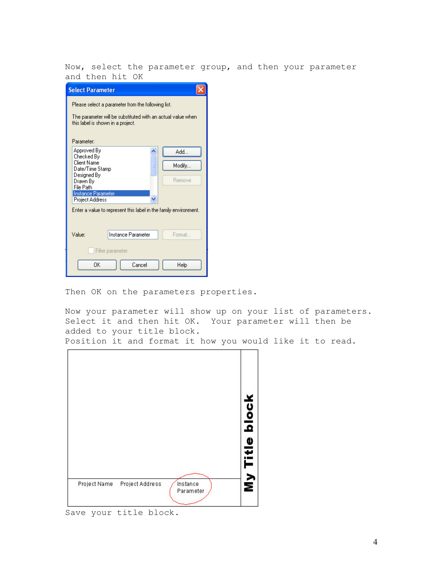Now, select the parameter group, and then your parameter and then hit OK

| <b>Select Parameter</b>                      |                                                                                                                                                        |        |
|----------------------------------------------|--------------------------------------------------------------------------------------------------------------------------------------------------------|--------|
|                                              | Please select a parameter from the following list.<br>The parameter will be substituted with an actual value when<br>this label is shown in a project. |        |
| Parameter:                                   |                                                                                                                                                        |        |
| Approved By<br>Checked By                    |                                                                                                                                                        | Add.   |
| Client Name<br>Date/Time Stamp               |                                                                                                                                                        | Modify |
| Designed By<br>Drawn By<br>File Path         |                                                                                                                                                        | Remove |
| Instance Parameter<br><b>Project Address</b> |                                                                                                                                                        |        |
|                                              | Enter a value to represent this label in the family environment.                                                                                       |        |
|                                              |                                                                                                                                                        |        |
| Value:                                       | Instance Parameter                                                                                                                                     | Format |
|                                              | Filter parameter                                                                                                                                       |        |
| <b>nk</b>                                    | Cancel                                                                                                                                                 | Help   |

Then OK on the parameters properties.

Now your parameter will show up on your list of parameters. Select it and then hit OK. Your parameter will then be added to your title block.

Position it and format it how you would like it to read.



Save your title block.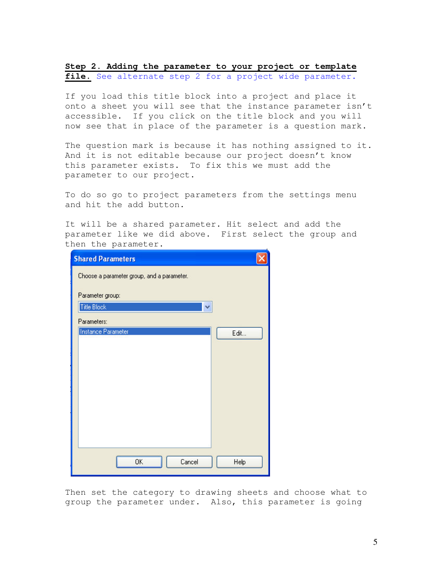**Step 2. Adding the parameter to your project or template** file. See alternate step 2 for a project wide parameter.

If you load this title block into a project and place it onto a sheet you will see that the instance parameter isn't accessible. If you click on the title block and you will now see that in place of the parameter is a question mark.

The question mark is because it has nothing assigned to it. And it is not editable because our project doesn't know this parameter exists. To fix this we must add the parameter to our project.

To do so go to project parameters from the settings menu and hit the add button.

It will be a shared parameter. Hit select and add the parameter like we did above. First select the group and then the parameter.

| <b>Shared Parameters</b>                   |      |
|--------------------------------------------|------|
| Choose a parameter group, and a parameter. |      |
| Parameter group:                           |      |
| Title Block                                |      |
| Parameters:                                |      |
| Instance Parameter                         | Edit |
|                                            |      |
|                                            |      |
|                                            |      |
|                                            |      |
|                                            |      |
|                                            |      |
|                                            |      |
|                                            |      |
|                                            |      |
| 0K<br>Cancel                               | Help |

Then set the category to drawing sheets and choose what to group the parameter under. Also, this parameter is going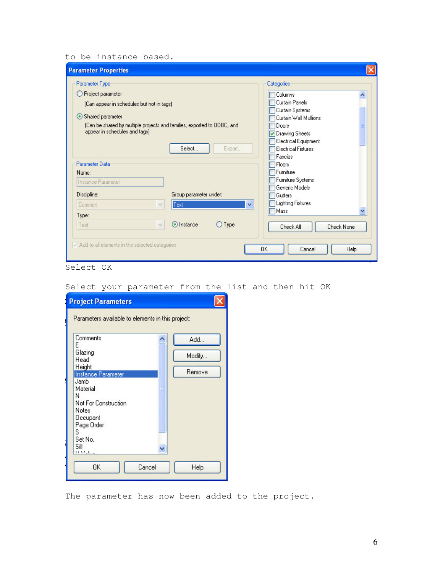## to be instance based.

| <b>Parameter Properties</b>                                                                              |                            |
|----------------------------------------------------------------------------------------------------------|----------------------------|
| Parameter Type                                                                                           | Categories                 |
| Project parameter<br>O                                                                                   | Columns                    |
| (Can appear in schedules but not in tags)                                                                | <b>Curtain Panels</b>      |
| Shared parameter                                                                                         | Curtain Systems            |
|                                                                                                          | Curtain Wall Mullions      |
| (Can be shared by multiple projects and families, exported to ODBC, and<br>appear in schedules and tags) | Doors                      |
|                                                                                                          | Orawing Sheets             |
| Select<br>Export                                                                                         | Electrical Equipment       |
|                                                                                                          | <b>Electrical Fixtures</b> |
| Parameter Data                                                                                           | Fascias<br>Floors          |
| Name:                                                                                                    | Furniture                  |
|                                                                                                          | Furniture Systems          |
| Instance Parameter                                                                                       | Generic Models             |
| Discipline:<br>Group parameter under:                                                                    | Gutters                    |
| Ÿ<br>Text<br>Common<br>$\sim$                                                                            | <b>Lighting Fixtures</b>   |
|                                                                                                          | Mass                       |
| Type:                                                                                                    |                            |
| O Instance<br>$\bigcup$ Type<br>Text<br>$\mathcal{A}$                                                    | Check None<br>Check All    |
|                                                                                                          |                            |
| Add to all elements in the selected categories                                                           |                            |
|                                                                                                          | 0K<br>Cancel<br>Help       |
|                                                                                                          |                            |

Select OK

Select your parameter from the list and then hit OK

| <b>Project Parameters</b>                         |        |        |  |
|---------------------------------------------------|--------|--------|--|
| Parameters available to elements in this project: |        |        |  |
| Comments<br>E                                     |        | Add    |  |
| Glazing<br>Head                                   |        | Modify |  |
| Height<br>Instance Parameter                      |        | Remove |  |
| Jamb<br>Material<br>N                             |        |        |  |
| Not For Construction<br>Notes                     |        |        |  |
| Occupant<br>Page Order                            |        |        |  |
| S<br>Set No.                                      |        |        |  |
| Sill<br>$1137 - 64$                               |        |        |  |
| OΚ                                                | Cancel | Help   |  |
|                                                   |        |        |  |

The parameter has now been added to the project.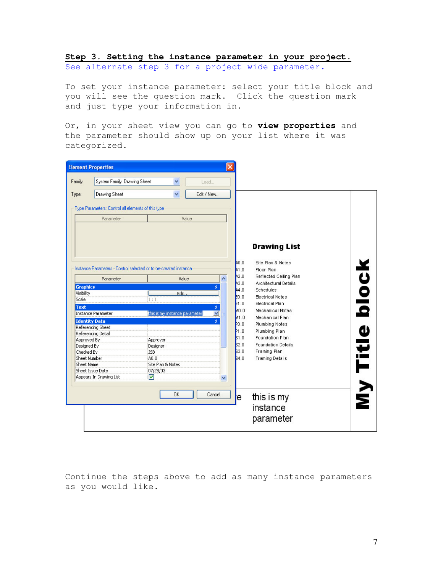# **Step 3. Setting the instance parameter in your project.**

See alternate step 3 for a project wide parameter.

To set your instance parameter: select your title block and you will see the question mark. Click the question mark and just type your information in.

Or, in your sheet view you can go to **view properties** and the parameter should show up on your list where it was categorized.

| Load<br>Edit / New<br>Value<br>Instance Parameters - Control selected or to-be-created instance |                      | <b>Drawing List</b>                                                                                                   |                                                                                                                                                                                                                                  |
|-------------------------------------------------------------------------------------------------|----------------------|-----------------------------------------------------------------------------------------------------------------------|----------------------------------------------------------------------------------------------------------------------------------------------------------------------------------------------------------------------------------|
|                                                                                                 |                      |                                                                                                                       |                                                                                                                                                                                                                                  |
|                                                                                                 |                      |                                                                                                                       |                                                                                                                                                                                                                                  |
|                                                                                                 |                      |                                                                                                                       |                                                                                                                                                                                                                                  |
|                                                                                                 |                      |                                                                                                                       |                                                                                                                                                                                                                                  |
|                                                                                                 |                      |                                                                                                                       |                                                                                                                                                                                                                                  |
| ۸                                                                                               | 0.04<br>A1.0<br>42.0 | Site Plan & Notes<br>Floor Plan<br>Reflected Ceiling Plan                                                             | blocl                                                                                                                                                                                                                            |
| ŵ                                                                                               | A3.0                 | Architectural Details                                                                                                 |                                                                                                                                                                                                                                  |
|                                                                                                 |                      |                                                                                                                       |                                                                                                                                                                                                                                  |
|                                                                                                 |                      |                                                                                                                       |                                                                                                                                                                                                                                  |
| $\hat{\mathbf{x}}$                                                                              |                      |                                                                                                                       |                                                                                                                                                                                                                                  |
| this is my instance parameter<br>M                                                              |                      |                                                                                                                       |                                                                                                                                                                                                                                  |
| $\hat{\mathbf{x}}$                                                                              |                      |                                                                                                                       |                                                                                                                                                                                                                                  |
|                                                                                                 |                      |                                                                                                                       |                                                                                                                                                                                                                                  |
|                                                                                                 |                      |                                                                                                                       |                                                                                                                                                                                                                                  |
|                                                                                                 |                      |                                                                                                                       |                                                                                                                                                                                                                                  |
|                                                                                                 |                      |                                                                                                                       |                                                                                                                                                                                                                                  |
|                                                                                                 |                      | Framing Plan                                                                                                          |                                                                                                                                                                                                                                  |
|                                                                                                 | 84.0                 | <b>Framing Details</b>                                                                                                |                                                                                                                                                                                                                                  |
|                                                                                                 |                      |                                                                                                                       |                                                                                                                                                                                                                                  |
|                                                                                                 |                      |                                                                                                                       |                                                                                                                                                                                                                                  |
|                                                                                                 |                      |                                                                                                                       | VII Titl                                                                                                                                                                                                                         |
|                                                                                                 | v<br>Cancel          | A4.0<br>$E_{0.0}$<br>E1.0<br>0.0 <sub>h</sub><br>M1.0<br>P <sub>0.0</sub><br>P1.0<br>51.0<br>\$2.0<br>$s_{3,0}$<br>le | <b>Schedules</b><br><b>Electrical Notes</b><br>Electrical Plan<br>Mechanical Notes<br>Mechanical Plan<br><b>Plumbing Notes</b><br>Plumbing Plan<br><b>Foundation Plan</b><br><b>Foundation Details</b><br>this is my<br>instance |

Continue the steps above to add as many instance parameters as you would like.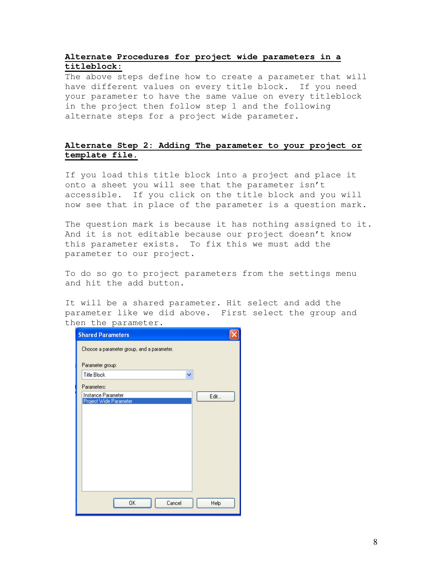## **Alternate Procedures for project wide parameters in a titleblock:**

The above steps define how to create a parameter that will have different values on every title block. If you need your parameter to have the same value on every titleblock in the project then follow step 1 and the following alternate steps for a project wide parameter.

## **Alternate Step 2: Adding The parameter to your project or template file.**

If you load this title block into a project and place it onto a sheet you will see that the parameter isn't accessible. If you click on the title block and you will now see that in place of the parameter is a question mark.

The question mark is because it has nothing assigned to it. And it is not editable because our project doesn't know this parameter exists. To fix this we must add the parameter to our project.

To do so go to project parameters from the settings menu and hit the add button.

It will be a shared parameter. Hit select and add the parameter like we did above. First select the group and then the parameter.

| <b>Shared Parameters</b>                     |      |
|----------------------------------------------|------|
| Choose a parameter group, and a parameter.   |      |
| Parameter group:                             |      |
| <b>Title Block</b>                           |      |
| Parameters:                                  |      |
| Instance Parameter<br>Project Wide Parameter | Edit |
|                                              |      |
|                                              |      |
|                                              |      |
|                                              |      |
|                                              |      |
|                                              |      |
|                                              |      |
|                                              |      |
|                                              |      |
| 0K<br>Cancel                                 | Help |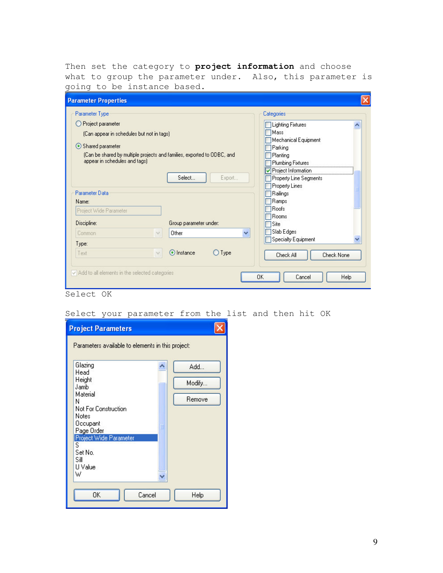Then set the category to **project information** and choose what to group the parameter under. Also, this parameter is going to be instance based.

| <b>Parameter Properties</b>                                                                                                                                                                                        |                                                                                                                                                                               |
|--------------------------------------------------------------------------------------------------------------------------------------------------------------------------------------------------------------------|-------------------------------------------------------------------------------------------------------------------------------------------------------------------------------|
| Parameter Type<br>O Project parameter<br>(Can appear in schedules but not in tags)<br>Shared parameter<br>(Can be shared by multiple projects and families, exported to ODBC, and<br>appear in schedules and tags) | Categories<br><b>Lighting Fixtures</b><br>$\overline{\phantom{a}}$<br>Mass.<br>Mechanical Equipment<br>Parking<br>Planting<br><b>Plumbing Fixtures</b><br>Project Information |
| Select<br>Export<br>Parameter Data<br>Name:<br>Project Wide Parameter<br>Discipline:<br>Group parameter under:                                                                                                     | Property Line Segments<br>Property Lines<br>Railings<br><b>Ramps</b><br>Roofs<br><b>Rooms</b><br>Site                                                                         |
| Other<br>Common<br>$\vee$<br>Type:<br>⊙ Instance<br>$\bigcirc$ Type<br>Text<br>$\mathcal{N}$                                                                                                                       | Slab Edges<br>Y<br><b>Specialty Equipment</b><br><b>Check None</b><br>Check All                                                                                               |
| Add to all elements in the selected categories                                                                                                                                                                     | OK<br>Cancel<br>Help                                                                                                                                                          |

Select OK

#### Select your parameter from the list and then hit OK

| <b>Project Parameters</b>                         |        |
|---------------------------------------------------|--------|
| Parameters available to elements in this project: |        |
| Glazing<br>Head                                   | Add    |
| Height<br>Jamb                                    | Modify |
| Material<br>Ν                                     | Remove |
| Not For Construction<br>Notes                     |        |
| Occupant<br>Page Order                            |        |
| Project Wide Parameter<br>s                       |        |
| Set No.<br>Sill<br>U Value                        |        |
| W                                                 |        |
| OK<br>Cancel                                      | Help   |
|                                                   |        |